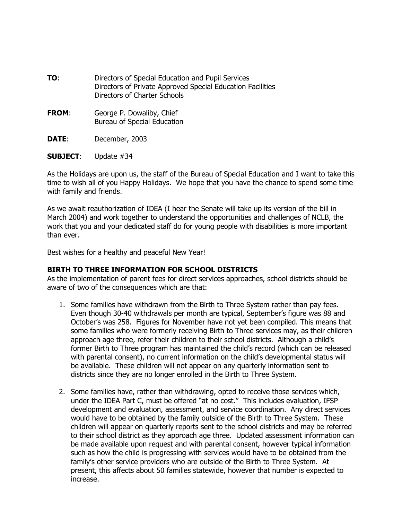- **TO**: Directors of Special Education and Pupil Services Directors of Private Approved Special Education Facilities Directors of Charter Schools
- **FROM:** George P. Dowaliby, Chief Bureau of Special Education
- **DATE**: December, 2003
- **SUBJECT**: Update #34

As the Holidays are upon us, the staff of the Bureau of Special Education and I want to take this time to wish all of you Happy Holidays. We hope that you have the chance to spend some time with family and friends.

As we await reauthorization of IDEA (I hear the Senate will take up its version of the bill in March 2004) and work together to understand the opportunities and challenges of NCLB, the work that you and your dedicated staff do for young people with disabilities is more important than ever.

Best wishes for a healthy and peaceful New Year!

#### **BIRTH TO THREE INFORMATION FOR SCHOOL DISTRICTS**

As the implementation of parent fees for direct services approaches, school districts should be aware of two of the consequences which are that:

- 1. Some families have withdrawn from the Birth to Three System rather than pay fees. Even though 30-40 withdrawals per month are typical, September's figure was 88 and October's was 258. Figures for November have not yet been compiled. This means that some families who were formerly receiving Birth to Three services may, as their children approach age three, refer their children to their school districts. Although a child's former Birth to Three program has maintained the child's record (which can be released with parental consent), no current information on the child's developmental status will be available. These children will not appear on any quarterly information sent to districts since they are no longer enrolled in the Birth to Three System.
- 2. Some families have, rather than withdrawing, opted to receive those services which, under the IDEA Part C, must be offered "at no cost." This includes evaluation, IFSP development and evaluation, assessment, and service coordination. Any direct services would have to be obtained by the family outside of the Birth to Three System. These children will appear on quarterly reports sent to the school districts and may be referred to their school district as they approach age three. Updated assessment information can be made available upon request and with parental consent, however typical information such as how the child is progressing with services would have to be obtained from the family's other service providers who are outside of the Birth to Three System. At present, this affects about 50 families statewide, however that number is expected to increase.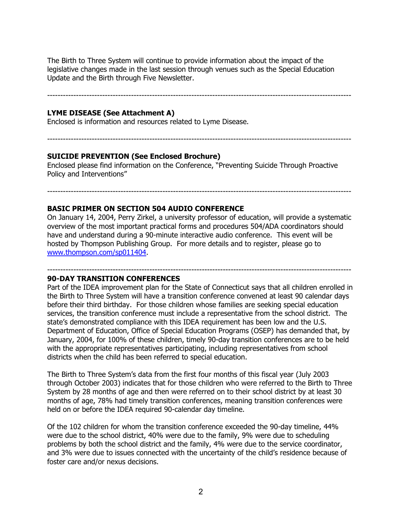The Birth to Three System will continue to provide information about the impact of the legislative changes made in the last session through venues such as the Special Education Update and the Birth through Five Newsletter.

--------------------------------------------------------------------------------------------------------------------

#### **LYME DISEASE (See Attachment A)**

Enclosed is information and resources related to Lyme Disease.

--------------------------------------------------------------------------------------------------------------------

#### **SUICIDE PREVENTION (See Enclosed Brochure)**

Enclosed please find information on the Conference, "Preventing Suicide Through Proactive Policy and Interventions"

## **BASIC PRIMER ON SECTION 504 AUDIO CONFERENCE**

On January 14, 2004, Perry Zirkel, a university professor of education, will provide a systematic overview of the most important practical forms and procedures 504/ADA coordinators should have and understand during a 90-minute interactive audio conference. This event will be hosted by Thompson Publishing Group. For more details and to register, please go to www.thompson.com/sp011404.

--------------------------------------------------------------------------------------------------------------------

#### -------------------------------------------------------------------------------------------------------------------- **90-DAY TRANSITION CONFERENCES**

Part of the IDEA improvement plan for the State of Connecticut says that all children enrolled in the Birth to Three System will have a transition conference convened at least 90 calendar days before their third birthday. For those children whose families are seeking special education services, the transition conference must include a representative from the school district. The state's demonstrated compliance with this IDEA requirement has been low and the U.S. Department of Education, Office of Special Education Programs (OSEP) has demanded that, by January, 2004, for 100% of these children, timely 90-day transition conferences are to be held with the appropriate representatives participating, including representatives from school districts when the child has been referred to special education.

The Birth to Three System's data from the first four months of this fiscal year (July 2003 through October 2003) indicates that for those children who were referred to the Birth to Three System by 28 months of age and then were referred on to their school district by at least 30 months of age, 78% had timely transition conferences, meaning transition conferences were held on or before the IDEA required 90-calendar day timeline.

Of the 102 children for whom the transition conference exceeded the 90-day timeline, 44% were due to the school district, 40% were due to the family, 9% were due to scheduling problems by both the school district and the family, 4% were due to the service coordinator, and 3% were due to issues connected with the uncertainty of the child's residence because of foster care and/or nexus decisions.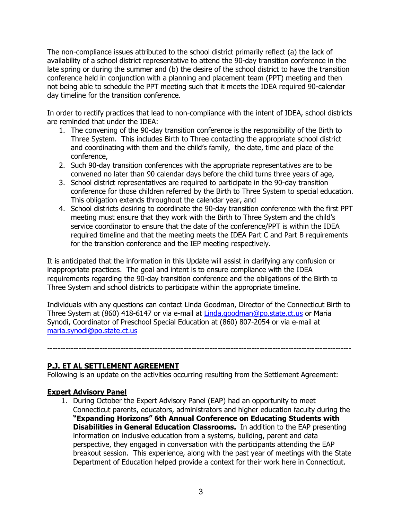The non-compliance issues attributed to the school district primarily reflect (a) the lack of availability of a school district representative to attend the 90-day transition conference in the late spring or during the summer and (b) the desire of the school district to have the transition conference held in conjunction with a planning and placement team (PPT) meeting and then not being able to schedule the PPT meeting such that it meets the IDEA required 90-calendar day timeline for the transition conference.

In order to rectify practices that lead to non-compliance with the intent of IDEA, school districts are reminded that under the IDEA:

- 1. The convening of the 90-day transition conference is the responsibility of the Birth to Three System. This includes Birth to Three contacting the appropriate school district and coordinating with them and the child's family, the date, time and place of the conference,
- 2. Such 90-day transition conferences with the appropriate representatives are to be convened no later than 90 calendar days before the child turns three years of age,
- 3. School district representatives are required to participate in the 90-day transition conference for those children referred by the Birth to Three System to special education. This obligation extends throughout the calendar year, and
- 4. School districts desiring to coordinate the 90-day transition conference with the first PPT meeting must ensure that they work with the Birth to Three System and the child's service coordinator to ensure that the date of the conference/PPT is within the IDEA required timeline and that the meeting meets the IDEA Part C and Part B requirements for the transition conference and the IEP meeting respectively.

It is anticipated that the information in this Update will assist in clarifying any confusion or inappropriate practices. The goal and intent is to ensure compliance with the IDEA requirements regarding the 90-day transition conference and the obligations of the Birth to Three System and school districts to participate within the appropriate timeline.

Individuals with any questions can contact Linda Goodman, Director of the Connecticut Birth to Three System at (860) 418-6147 or via e-mail at Linda.goodman@po.state.ct.us or Maria Synodi, Coordinator of Preschool Special Education at (860) 807-2054 or via e-mail at maria.synodi@po.state.ct.us

--------------------------------------------------------------------------------------------------------------------

# **P.J. ET AL SETTLEMENT AGREEMENT**

Following is an update on the activities occurring resulting from the Settlement Agreement:

# **Expert Advisory Panel**

1. During October the Expert Advisory Panel (EAP) had an opportunity to meet Connecticut parents, educators, administrators and higher education faculty during the **—Expanding Horizons" 6th Annual Conference on Educating Students with Disabilities in General Education Classrooms.** In addition to the EAP presenting information on inclusive education from a systems, building, parent and data perspective, they engaged in conversation with the participants attending the EAP breakout session. This experience, along with the past year of meetings with the State Department of Education helped provide a context for their work here in Connecticut.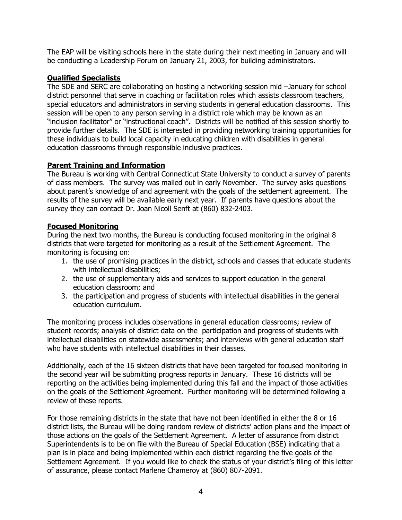The EAP will be visiting schools here in the state during their next meeting in January and will be conducting a Leadership Forum on January 21, 2003, for building administrators.

## **Qualified Specialists**

The SDE and SERC are collaborating on hosting a networking session mid -January for school district personnel that serve in coaching or facilitation roles which assists classroom teachers, special educators and administrators in serving students in general education classrooms. This session will be open to any person serving in a district role which may be known as an "inclusion facilitator" or "instructional coach". Districts will be notified of this session shortly to provide further details. The SDE is interested in providing networking training opportunities for these individuals to build local capacity in educating children with disabilities in general education classrooms through responsible inclusive practices.

## **Parent Training and Information**

The Bureau is working with Central Connecticut State University to conduct a survey of parents of class members. The survey was mailed out in early November. The survey asks questions about parent's knowledge of and agreement with the goals of the settlement agreement. The results of the survey will be available early next year. If parents have questions about the survey they can contact Dr. Joan Nicoll Senft at (860) 832-2403.

## **Focused Monitoring**

During the next two months, the Bureau is conducting focused monitoring in the original 8 districts that were targeted for monitoring as a result of the Settlement Agreement. The monitoring is focusing on:

- 1. the use of promising practices in the district, schools and classes that educate students with intellectual disabilities;
- 2. the use of supplementary aids and services to support education in the general education classroom; and
- 3. the participation and progress of students with intellectual disabilities in the general education curriculum.

The monitoring process includes observations in general education classrooms; review of student records; analysis of district data on the participation and progress of students with intellectual disabilities on statewide assessments; and interviews with general education staff who have students with intellectual disabilities in their classes.

Additionally, each of the 16 sixteen districts that have been targeted for focused monitoring in the second year will be submitting progress reports in January. These 16 districts will be reporting on the activities being implemented during this fall and the impact of those activities on the goals of the Settlement Agreement. Further monitoring will be determined following a review of these reports.

For those remaining districts in the state that have not been identified in either the 8 or 16 district lists, the Bureau will be doing random review of districts' action plans and the impact of those actions on the goals of the Settlement Agreement. A letter of assurance from district Superintendents is to be on file with the Bureau of Special Education (BSE) indicating that a plan is in place and being implemented within each district regarding the five goals of the Settlement Agreement. If you would like to check the status of your district's filing of this letter of assurance, please contact Marlene Chameroy at (860) 807-2091.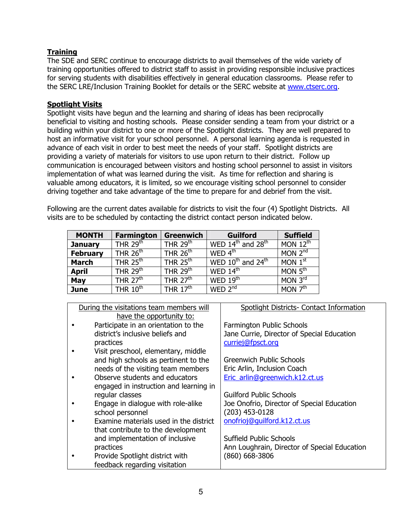# **Training**

The SDE and SERC continue to encourage districts to avail themselves of the wide variety of training opportunities offered to district staff to assist in providing responsible inclusive practices for serving students with disabilities effectively in general education classrooms. Please refer to the SERC LRE/Inclusion Training Booklet for details or the SERC website at www.ctserc.org.

#### **Spotlight Visits**

Spotlight visits have begun and the learning and sharing of ideas has been reciprocally beneficial to visiting and hosting schools. Please consider sending a team from your district or a building within your district to one or more of the Spotlight districts. They are well prepared to host an informative visit for your school personnel. A personal learning agenda is requested in advance of each visit in order to best meet the needs of your staff. Spotlight districts are providing a variety of materials for visitors to use upon return to their district. Follow up communication is encouraged between visitors and hosting school personnel to assist in visitors implementation of what was learned during the visit. As time for reflection and sharing is valuable among educators, it is limited, so we encourage visiting school personnel to consider driving together and take advantage of the time to prepare for and debrief from the visit.

Following are the current dates available for districts to visit the four (4) Spotlight Districts. All visits are to be scheduled by contacting the district contact person indicated below.

| <b>MONTH</b>    | <b>Farmington</b>      | <b>Greenwich</b>     | <b>Guilford</b>             | <b>Suffield</b>         |
|-----------------|------------------------|----------------------|-----------------------------|-------------------------|
| <b>January</b>  | THR 29 $\overline{th}$ | THR $29th$           | WED $14th$ and $28th$       | MON $12th$              |
| <b>February</b> | THR $26th$             | THR $26th$           | WED $4^{\text{th}}$         | MON $2^{nd}$            |
| <b>March</b>    | THR $25th$             | THR $25th$           | WED $10^{th}$ and $24^{th}$ | MON 1 <sup>st</sup>     |
| <b>April</b>    | THR $29th$             | THR $29th$           | WED $14th$                  | MON $\overline{5^{th}}$ |
| May             | THR $27th$             | THR $27th$           | WED $19^{\text{th}}$        | MON $3^{\text{rd}}$     |
| <b>June</b>     | THR $10^{\text{th}}$   | THR $17^{\text{th}}$ | WED $2^{nd}$                | MON $7^{\overline{th}}$ |

| During the visitations team members will |                                        | Spotlight Districts- Contact Information     |  |
|------------------------------------------|----------------------------------------|----------------------------------------------|--|
|                                          | have the opportunity to:               |                                              |  |
|                                          | Participate in an orientation to the   | Farmington Public Schools                    |  |
|                                          | district's inclusive beliefs and       | Jane Currie, Director of Special Education   |  |
|                                          | practices                              | curriej@fpsct.org                            |  |
|                                          | Visit preschool, elementary, middle    |                                              |  |
|                                          | and high schools as pertinent to the   | <b>Greenwich Public Schools</b>              |  |
|                                          | needs of the visiting team members     | Eric Arlin, Inclusion Coach                  |  |
|                                          | Observe students and educators         | Eric_arlin@greenwich.k12.ct.us               |  |
|                                          | engaged in instruction and learning in |                                              |  |
|                                          | regular classes                        | <b>Guilford Public Schools</b>               |  |
|                                          | Engage in dialogue with role-alike     | Joe Onofrio, Director of Special Education   |  |
|                                          | school personnel                       | $(203)$ 453-0128                             |  |
|                                          | Examine materials used in the district | onofrioj@guilford.k12.ct.us                  |  |
|                                          | that contribute to the development     |                                              |  |
|                                          | and implementation of inclusive        | Suffield Public Schools                      |  |
|                                          | practices                              | Ann Loughrain, Director of Special Education |  |
|                                          | Provide Spotlight district with        | $(860)$ 668-3806                             |  |
|                                          | feedback regarding visitation          |                                              |  |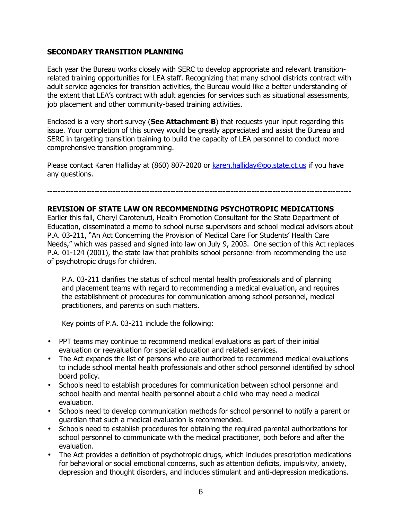#### **SECONDARY TRANSITION PLANNING**

Each year the Bureau works closely with SERC to develop appropriate and relevant transitionrelated training opportunities for LEA staff. Recognizing that many school districts contract with adult service agencies for transition activities, the Bureau would like a better understanding of the extent that LEA's contract with adult agencies for services such as situational assessments, job placement and other community-based training activities.

Enclosed is a very short survey (**See Attachment B**) that requests your input regarding this issue. Your completion of this survey would be greatly appreciated and assist the Bureau and SERC in targeting transition training to build the capacity of LEA personnel to conduct more comprehensive transition programming.

Please contact Karen Halliday at (860) 807-2020 or karen.halliday@po.state.ct.us if you have any questions.

#### --------------------------------------------------------------------------------------------------------------------

## **REVISION OF STATE LAW ON RECOMMENDING PSYCHOTROPIC MEDICATIONS**

Earlier this fall, Cheryl Carotenuti, Health Promotion Consultant for the State Department of Education, disseminated a memo to school nurse supervisors and school medical advisors about P.A. 03-211, "An Act Concerning the Provision of Medical Care For Students' Health Care Needs," which was passed and signed into law on July 9, 2003. One section of this Act replaces P.A. 01-124 (2001), the state law that prohibits school personnel from recommending the use of psychotropic drugs for children.

P.A. 03-211 clarifies the status of school mental health professionals and of planning and placement teams with regard to recommending a medical evaluation, and requires the establishment of procedures for communication among school personnel, medical practitioners, and parents on such matters.

Key points of P.A. 03-211 include the following:

- PPT teams may continue to recommend medical evaluations as part of their initial evaluation or reevaluation for special education and related services.
- The Act expands the list of persons who are authorized to recommend medical evaluations to include school mental health professionals and other school personnel identified by school board policy.
- Schools need to establish procedures for communication between school personnel and school health and mental health personnel about a child who may need a medical evaluation.
- Schools need to develop communication methods for school personnel to notify a parent or guardian that such a medical evaluation is recommended.
- • Schools need to establish procedures for obtaining the required parental authorizations for school personnel to communicate with the medical practitioner, both before and after the evaluation.
- The Act provides a definition of psychotropic drugs, which includes prescription medications for behavioral or social emotional concerns, such as attention deficits, impulsivity, anxiety, depression and thought disorders, and includes stimulant and anti-depression medications.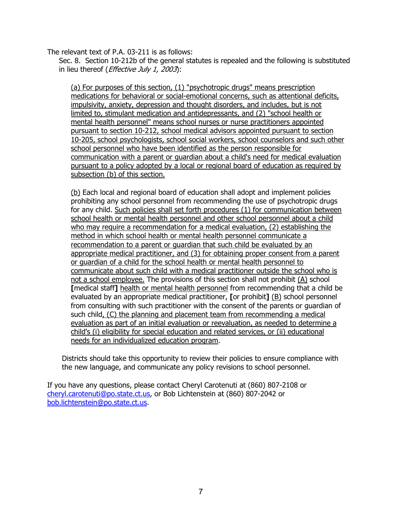The relevant text of P.A. 03-211 is as follows:

Sec. 8. Section 10-212b of the general statutes is repealed and the following is substituted in lieu thereof (*Effective July 1, 2003*);

(a) For purposes of this section, (1) "psychotropic drugs" means prescription medications for behavioral or social-emotional concerns, such as attentional deficits, impulsivity, anxiety, depression and thought disorders, and includes, but is not limited to, stimulant medication and antidepressants, and (2) "school health or mental health personnel" means school nurses or nurse practitioners appointed pursuant to section 10-212, school medical advisors appointed pursuant to section 10-205, school psychologists, school social workers, school counselors and such other school personnel who have been identified as the person responsible for communication with a parent or guardian about a child's need for medical evaluation pursuant to a policy adopted by a local or regional board of education as required by subsection (b) of this section.

(b) Each local and regional board of education shall adopt and implement policies prohibiting any school personnel from recommending the use of psychotropic drugs for any child. Such policies shall set forth procedures (1) for communication between school health or mental health personnel and other school personnel about a child who may require a recommendation for a medical evaluation, (2) establishing the method in which school health or mental health personnel communicate a recommendation to a parent or guardian that such child be evaluated by an appropriate medical practitioner, and (3) for obtaining proper consent from a parent or guardian of a child for the school health or mental health personnel to communicate about such child with a medical practitioner outside the school who is not a school employee. The provisions of this section shall not prohibit (A) school **[**medical staff**]** health or mental health personnel from recommending that a child be evaluated by an appropriate medical practitioner, **[**or prohibit**]** (B) school personnel from consulting with such practitioner with the consent of the parents or guardian of such child, (C) the planning and placement team from recommending a medical evaluation as part of an initial evaluation or reevaluation, as needed to determine a child's (i) eligibility for special education and related services, or (ii) educational needs for an individualized education program.

Districts should take this opportunity to review their policies to ensure compliance with the new language, and communicate any policy revisions to school personnel.

If you have any questions, please contact Cheryl Carotenuti at (860) 807-2108 or cheryl.carotenuti@po.state.ct.us, or Bob Lichtenstein at (860) 807-2042 or bob.lichtenstein@po.state.ct.us.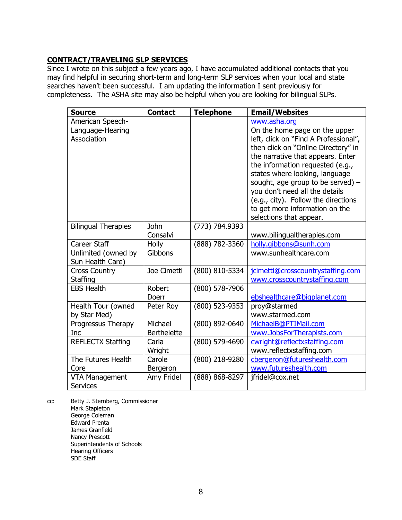## **CONTRACT/TRAVELING SLP SERVICES**

Since I wrote on this subject a few years ago, I have accumulated additional contacts that you may find helpful in securing short-term and long-term SLP services when your local and state searches haven't been successful. I am updating the information I sent previously for completeness. The ASHA site may also be helpful when you are looking for bilingual SLPs.

| <b>Source</b>                                           | <b>Contact</b>                | <b>Telephone</b> | <b>Email/Websites</b>                                                                                                                                                                                                                                                                                                                                                                                                 |
|---------------------------------------------------------|-------------------------------|------------------|-----------------------------------------------------------------------------------------------------------------------------------------------------------------------------------------------------------------------------------------------------------------------------------------------------------------------------------------------------------------------------------------------------------------------|
| American Speech-<br>Language-Hearing<br>Association     |                               |                  | www.asha.org<br>On the home page on the upper<br>left, click on "Find A Professional",<br>then click on "Online Directory" in<br>the narrative that appears. Enter<br>the information requested (e.g.,<br>states where looking, language<br>sought, age group to be served) $-$<br>you don't need all the details<br>(e.g., city). Follow the directions<br>to get more information on the<br>selections that appear. |
| <b>Bilingual Therapies</b>                              | <b>John</b><br>Consalvi       | (773) 784.9393   | www.bilingualtherapies.com                                                                                                                                                                                                                                                                                                                                                                                            |
| Career Staff<br>Unlimited (owned by<br>Sun Health Care) | Holly<br>Gibbons              | (888) 782-3360   | holly.gibbons@sunh.com<br>www.sunhealthcare.com                                                                                                                                                                                                                                                                                                                                                                       |
| <b>Cross Country</b><br>Staffing                        | Joe Cimetti                   | (800) 810-5334   | jcimetti@crosscountrystaffing.com<br>www.crosscountrystaffing.com                                                                                                                                                                                                                                                                                                                                                     |
| <b>EBS Health</b>                                       | Robert<br>Doerr               | (800) 578-7906   | ebshealthcare@bigplanet.com                                                                                                                                                                                                                                                                                                                                                                                           |
| Health Tour (owned<br>by Star Med)                      | Peter Roy                     | (800) 523-9353   | proy@starmed<br>www.starmed.com                                                                                                                                                                                                                                                                                                                                                                                       |
| Progressus Therapy<br>Inc                               | Michael<br><b>Berthelette</b> | (800) 892-0640   | MichaelB@PTIMail.com<br>www.JobsForTherapists.com                                                                                                                                                                                                                                                                                                                                                                     |
| <b>REFLECTX Staffing</b>                                | Carla<br>Wright               | (800) 579-4690   | cwright@reflectxstaffing.com<br>www.reflectxstaffing.com                                                                                                                                                                                                                                                                                                                                                              |
| The Futures Health<br>Core                              | Carole<br>Bergeron            | (800) 218-9280   | cbergeron@futureshealth.com<br>www.futureshealth.com                                                                                                                                                                                                                                                                                                                                                                  |
| <b>VTA Management</b><br><b>Services</b>                | Amy Fridel                    | (888) 868-8297   | jfridel@cox.net                                                                                                                                                                                                                                                                                                                                                                                                       |

cc: Betty J. Sternberg, Commissioner Mark Stapleton George Coleman Edward Prenta James Granfield Nancy Prescott Superintendents of Schools Hearing Officers SDE Staff